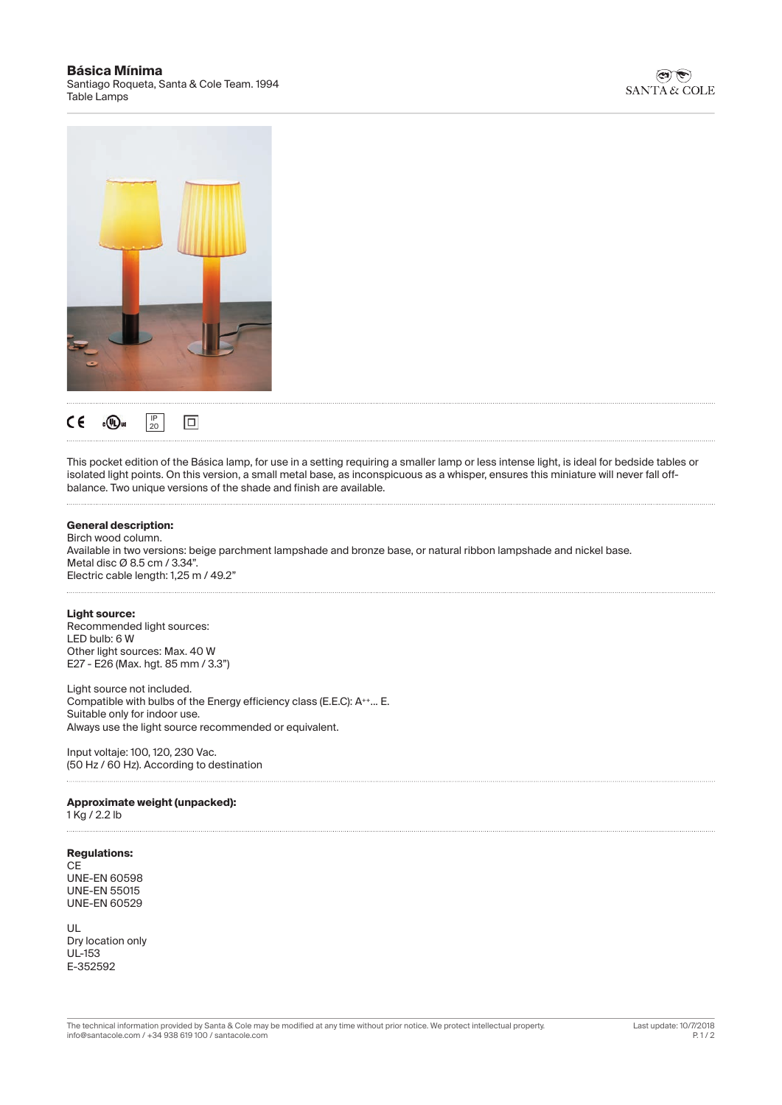### **Básica Mínima** Santiago Roqueta, Santa & Cole Team. 1994 Table Lamps





This pocket edition of the Básica lamp, for use in a setting requiring a smaller lamp or less intense light, is ideal for bedside tables or isolated light points. On this version, a small metal base, as inconspicuous as a whisper, ensures this miniature will never fall offbalance. Two unique versions of the shade and finish are available.

### **General description:**

Birch wood column. Available in two versions: beige parchment lampshade and bronze base, or natural ribbon lampshade and nickel base. Metal disc Ø 8.5 cm / 3.34". Electric cable length: 1,25 m / 49.2"

### **Light source:**

Recommended light sources: LED bulb: 6 W Other light sources: Max. 40 W E27 - E26 (Max. hgt. 85 mm / 3.3")

Light source not included. Compatible with bulbs of the Energy efficiency class (E.E.C): A<sup>++</sup>... E. Suitable only for indoor use. Always use the light source recommended or equivalent.

Input voltaje: 100, 120, 230 Vac. (50 Hz / 60 Hz). According to destination

### **Approximate weight (unpacked):**

1 Kg / 2.2 lb

### **Regulations:**

**CE** UNE-EN 60598 UNE-EN 55015 UNE-EN 60529

UL Dry location only UL-153 E-352592